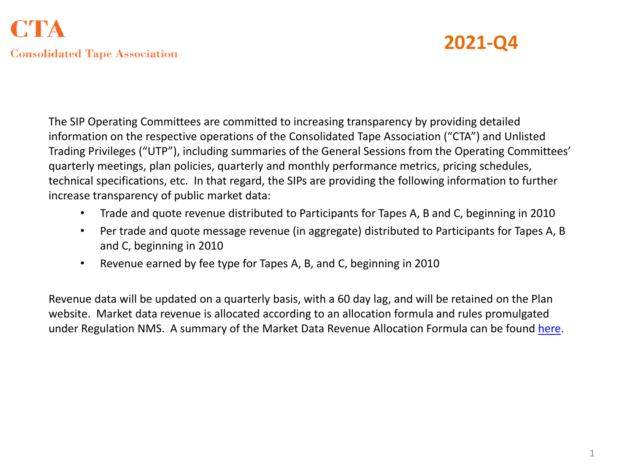

The SIP Operating Committees are committed to increasing transparency by providing detailed information on the respective operations of the Consolidated Tape Association ("CTA") and Unlisted Trading Privileges ("UTP"), including summaries of the General Sessions from the Operating Committees' quarterly meetings, plan policies, quarterly and monthly performance metrics, pricing schedules, technical specifications, etc. In that regard, the SIPs are providing the following information to further increase transparency of public market data:

- Trade and quote revenue distributed to Participants for Tapes A, B and C, beginning in 2010
- Per trade and quote message revenue (in aggregate) distributed to Participants for Tapes A, B and C, beginning in 2010
- Revenue earned by fee type for Tapes A, B, and C, beginning in 2010

Revenue data will be updated on a quarterly basis, with a 60 day lag, and will be retained on the Plan website. Market data revenue is allocated according to an allocation formula and rules promulgated under Regulation NMS. A summary of the Market Data Revenue Allocation Formula can be found [here](https://www.nyse.com/publicdocs/ctaplan/notifications/trader-update/Revenue_Allocation_Formula_Summary.pdf).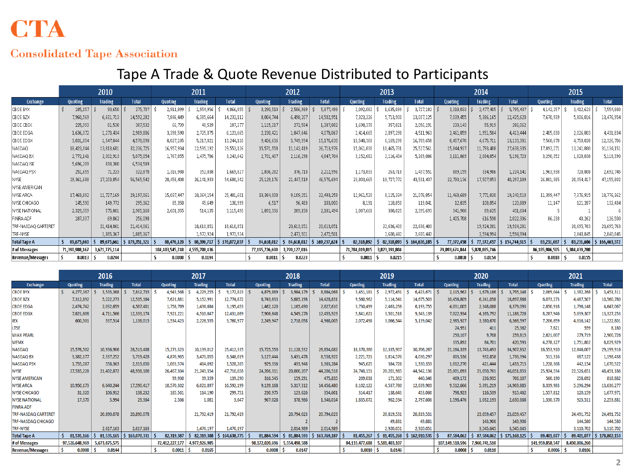# **CTA**

#### **Consolidated Tape Association**

## Tape A Trade & Quote Revenue Distributed to Participants

|                      | 2010           |                |              | 2011            |               |             | 2012           |                |              | 2013           |                |              | 2014           |                |              | 2015           |               |              |
|----------------------|----------------|----------------|--------------|-----------------|---------------|-------------|----------------|----------------|--------------|----------------|----------------|--------------|----------------|----------------|--------------|----------------|---------------|--------------|
| Exchange             | Quoting        | <b>Trading</b> | <b>Total</b> | Quoting         | Trading       | Total       | Quoting        | <b>Trading</b> | <b>Total</b> | Quoting        | <b>Trading</b> | <b>Total</b> | Quoting        | <b>Trading</b> | <b>Total</b> | Quoting        | Trading       | <b>Total</b> |
| CBOE BYX             | 185,057        | 90,650         | 275,707      | 2,911,899       | 1,954,956     | 4,866,855   | 3,290,510      | 2,586,989      | 5,877,499    | 2,092,082      | 1,635,099      | 3,727,182    | 3,318,033      | 2,477,405      | 5,795,437    | 4,142,257      | 3,412,623     | 7,554,880    |
| CBOE BZX             | 7,960,569      | 6,631,713      | 14,592,282   | 7,846,449       | 6,385,664     | 14,232,112  | 8,004,744      | 6,498,207      | 14,502,951   | 7,323,226      | 5,713,900      | 13,037,125   | 7,039,455      | 5,386,165      | 12,425,620   | 7,670,939      | 5,806,016     | 13,476,954   |
| CBOE CBSX            | 225,993        | 81,538         | 307,532      | 66,739          | 40.539        | 107,277     | 1,115,217      | 272,584        | 1,387,802    | 1,698,370      | 357,821        | 2,056,191    | 230,143        | 55,919         | 286,062      |                |               |              |
| CBOE EDGA            | 1,636,372      | 1,273,434      | 2,909,806    | 3,398,590       | 2,725,075     | 6,123,665   | 2,230,421      | 1,847,646      | 4,078,067    | 2,414,665      | 2,097,298      | 4,511,963    | 2,461,859      | 1,951,584      | 4,413,444    | 2,405,030      | 2,026,803     | 4,431,834    |
| CBOE EDGX            | 3,031,054      | 1,547,044      | 4,578,098    | 8,027,105       | 5,217,021     | 13,244,126  | 9,426,636      | 5,749,994      | 15,176,630   | 10,540,360     | 6,169,298      | 16,709,658   | 8,457,670      | 4,675,711      | 13,133,381   | 7,568,678      | 4,758,028     | 12,326,706   |
| NASDAQ               | 18,423,044     | 13,813,681     | 32, 236, 725 | 16,957,934      | 12,595,192    | 29,553,126  | 15,571,558     | 11,142,419     | 26,713,976   | 15,061,830     | 10,465,731     | 25,527,561   | 15,844,927     | 11,793,408     | 27,638,335   | 17,892,271     | 13,241,880    | 31,134,151   |
| NASDAQ BX            | 2,772,141      | 2,302,913      | 5,075,054    | 1,767,855       | 1,475,786     | 3,243,642   | 2,731,407      | 2,116,298      | 4,847,704    | 3,152,682      | 2,116,404      | 5,269,086    | 3,111,869      | 2,084,854      | 5,196,723    | 3,290,352      | 1,828,038     | 5,118,390    |
| NASDAQ ISE           | 5,696,209      | 838,380        | 6,534,589    |                 |               |             |                |                |              |                |                |              |                |                |              |                |               |              |
| NASDAQ PSX           | 251,655        | 71,223         | 322,878      | 1,316,988       | 352,838       | 1,669,827   | 1,836,282      | 376,713        | 2,212,996    | 1,173,833      | 263,718        | 1,437,551    | 889,155        | 334,986        | 1,224,141    | 1,963,938      | 728,808       | 2,692,745    |
| <b>NYSE</b>          | 29,361,688     | 27,203,854     | 56, 565, 542 | 28,458,408      | 26,141,933    | 54,600,342  | 25,129,176     | 21,447,519     | 46,576,694   | 23,803,665     | 19,727,772     | 43,531,437   | 22,790,136     | 17,507,053     | 40,297,189   | 26,801,385     | 20, 354, 417  | 47,155,802   |
| NYSE AMERICAN        |                |                |              |                 |               |             |                |                |              |                |                |              |                |                |              |                |               |              |
| NYSE ARCA            | 17,469,892     | 11,727,169     | 29,197,061   | 15,037,447      | 10,364,154    | 25,401,601  | 13,384,008     | 9,109,251      | 22,493,259   | 12,961,520     | 8,115,334      | 21,076,854   | 11,468,689     | 7,771,820      | 19,240,510   | 11,399,447     | 7,376,915     | 18,776,362   |
| NYSE CHICAGO         | 145,590        | 149,772        | 295,362      | 85,350          | 45.649        | 130,999     | 6,517          | 96,483         | 103,000      | 8,191          | 110,850        | 119,041      | 12,835         | 108,054        | 120,889      | 11.147         | 121,287       | 132,434      |
| <b>NYSE NATIONAL</b> | 2,329,359      | 575,801        | 2,905,160    | 2,601,355       | 514,135       | 3,115,490   | 1,892,336      | 289,158        | 2,181,494    | 2,087,668      | 308,025        | 2,395,693    | 341,980        | 89,625         | 431,604      |                |               |              |
| <b>FINRA ADF</b>     | 187,037        | 69,062         | 256,098      |                 |               |             |                |                |              |                |                |              | 1,405,708      | 616,598        | 2,022,306    | 86.238         | 40.262        | 126,500      |
| TRF-NASDAQ CARTERET  |                | 21,414,061     | 21,414,061   |                 | 18,610,851    | 18,610,851  |                | 20,613,051     | 20,613,051   |                | 22,636,403     | 22,636,403   |                | 19,924,281     | 19,924,281   |                | 20,695,763    | 20,695,763   |
| TRF-NYSE             |                | 1,885,367      | 1,885,367    |                 | 1,972,924     | 1,972,924   |                | 2,472,501      | 2,472,501    |                | 2,600,442      | 2,600,442    |                | 2,594,994      | 2,594,994    |                | 2,840,845     | 2,840,845    |
| <b>Total Tape A</b>  | 89,675,660     | 89,675,661     | 179,351,321  | 88,476,120      | 88,396,717    | 176,872,837 | 84,618,812     | 84,618,812     | 169,237,624  | 82,318,092     | 82,318,093     | 164,636,185  | 77,372,458     | 77,372,457     | 154,744,915  | 83,231,687     | 83,231,686    | 166,463,372  |
| # of Messages        | 71,390,988,167 | 3,671,775.114  |              | 104,403,545,748 | 4,555,708,436 |             | 77,195,726,690 | 3,799.127,816  |              | 71,784,019,015 | 3,823,391,804  |              | 79,093,674,844 | 5,028,885.746  |              | 86,185,986,505 | 5,384,439,280 |              |
| Revenue/Messages     | 0.0013         | 0.0244         |              | 0.0008          | 0.0194        |             | 0.0011         | 0.0223         |              | 0.0011         | 0.0215         |              | 0.0010         | 0.0154         |              | 0.0010         | 0.0155        |              |

|                            | 2016           |                |               | 2017           |                |               | 2018           |                |                           | 2019           |                |                | 2020            |                |                           | 2021            |                |                           |
|----------------------------|----------------|----------------|---------------|----------------|----------------|---------------|----------------|----------------|---------------------------|----------------|----------------|----------------|-----------------|----------------|---------------------------|-----------------|----------------|---------------------------|
| Exchange                   | Quoting        | <b>Trading</b> | <b>Total</b>  | Quoting        | <b>Trading</b> | <b>Total</b>  | Quoting        | <b>Trading</b> | <b>Total</b>              | Quoting        | <b>Trading</b> | <b>Total</b>   | Quoting         | <b>Trading</b> | <b>Total</b>              | <b>Quoting</b>  | <b>Trading</b> | <b>Total</b>              |
| <b>CBOE BYX</b>            | 4,277,367      | 3,535,368      | 7,812,735     | 4,943,568      | 4,229,255      | 9,172,823     | 4,879,889      | 3,984,179      | 8.864.068                 | 3,451,181      | 2,972,491      | $6,423,671$ \$ | 2,115,962       | 1,679,186      | 3,795,148                 | 2,069,044       | 1,382,268      | 3,451,311                 |
| <b>CBOE BZX</b>            | 7,312,892      | 5,222,273      | 12,535,164    | 7,621,881      | 5,152,991      | 12,774,872    | 8,743,633      | 5,685,198      | 14,428,831                | 9,560,962      | 5,114,541      | 14,675,503     | 10,456,809      | 6,241,058      | 16,697,866                | 6,073,273       | 4,487,507      | 10,560,780                |
| <b>CBOE EDGA</b>           | 2,474,742      | 2,032,659      | 4,507,401     | 1,758,769      | 1,436,684      | 3,195,453     | 1,462,120      | 1,165,490      | 2,627,610                 | 3,730,499      | 2,463,256      | 6,193,755      | 4,031,005       | 2,348,088      | 6,379,093                 | 2,850,918       | 1,796,148      | 4,647,067                 |
| <b>CBOE EDGX</b>           | 7,621,608      | 4,711,566      | 12.333.174    | 7,921,221      | 4.510.647      | 12,431,869    | 7,906,648      | 4,549,276      | 12,455,923                | 5,841,621      | 3,501,518      | 9.343.139      | 7.022.934       | 4,165,792      | 11,188,726                | 8,287,946       | 5,039,307      | 13,327,253                |
| IEX                        | 600.501        | 537,514        | 1.138.015     | 1,534,423      | 2,226,555      | 3,760,977     | 2.249.947      | 2,718,058      | 4.968.005                 | 2.072.498      | 3.066.544      | 5.139.042      | 2,985,927       | 3,380,670      | 6.366.597                 | 7,206,659       | 4,016,142      | 11,222,801                |
| <b>LTSE</b>                |                |                |               |                |                |               |                |                |                           |                |                |                | 24,951          | 411            | 25,362                    | 7,621           | 559            | 8,180                     |
| <b>MIAX PEARL</b>          |                |                |               |                |                |               |                |                |                           |                |                |                | 250,107         | 9,708          | 259,815                   | 2,621,007       | 279,719        | 2,900,726                 |
| <b>MEMX</b>                |                |                |               |                |                |               |                |                |                           |                |                |                | 335,892         | 84,701         | 420.593                   | 4,278,127       | 1,751,802      | 6,029,929                 |
| <b>NASDAQ</b>              | 15.576.502     | 10.936.906     | 26.513.408    | 15,273,323     | 10.139.012     | 25,412,335    | 15,725,550     | 11,128,532     | 26.854.082                | 18,370,360     | 12.335.907     | 30,706,267     | 21,164,339      | 13.743.493     | 34.907.832                | 16,553,910      | 12.646.007     | 29,199,916                |
| <b>NASDAQ BX</b>           | 3,382,177      | 2,337,252      | 5,719,428     | 4,876,965      | 3,471,055      | 8,348,019     | 5,127,444      | 3,431,478      | 8,558,922                 | 2,221,721      | 1,814,576      | 4,036,297      | 803,536         | 932,858        | 1,736,394                 | 511,316         | 687,122        | 1,198,438                 |
| <b>NASDAQ PSX</b>          | 1,755,287      | 558,363        | 2,313,650     | 1,063,574      | 464.692        | 1,528,265     | 929,336        | 433,948        | 1,363,284                 | 945,625        | 384,728        | 1,330,353      | 1,012,270       | 421,444        | 1,433,715                 | 1,228,368       | 442.154        | 1,670,522                 |
| <b>NYSE</b>                | 27,535,228     | 21,402,872     | 48,938,100    | 26,467,304     | 21,243,354     | 47,710,658    | 24,206,311     | 20,000,207     | 44,206,518                | 24,740,151     | 20,201,985     | 44,942,136     | 25,001,093      | 21,050,761     | 46,051,853                | 25,924,534      | 22,526,651     | 48,451,186                |
| <b>NYSE AMERICAN</b>       |                |                |               | 99,930         | 39,359         | 139,290       | 316,545        | 159,291        | 475,835                   | 269,038        | 171,302        | 440,340        | 469.172         | 236,935        | 706.107                   | 560,190         | 258,692        | 818,882                   |
| <b>NYSE ARCA</b>           | 10,950,173     | 6,640,244      | 17,590,417    | 10,570,302     | 6,021,897      | 16,592,199    | 9,139,168      | 5,317,312      | 14,456,480                | 8,102,122      | 4,537,780      | 12,639,903     | 9,512,666       | 5,391,219      | 14,903,885                | 8,339,983       | 5,296,294      | 13,636,277                |
| <b>NYSE CHICAGO</b>        | 31,320         | 106,912        | 138,232       | 185,561        | 114,190        | 299,751       | 230,975        | 123,626        | 354,601                   | 314,417        | 138,643        | 453,060        | 798,923         | 116,539        | 915,462                   | 1,557,812       | 120,159        | 1,677,971                 |
| <b>NYSE NATIONAL</b>       | 17,370         | 5.994          | 23.364        | 2.566          | 1.081          | 3.647         | 967,028        | 378,986        | 1.346.014                 | 1,835,072      | 962.534        | 2,797,606      | 1.598.476       | 1,032,193      | 2,630,668                 | 1,330,370       | 923,511        | 2,253,881                 |
| <b>FINRA ADF</b>           |                |                |               |                |                |               |                |                |                           |                |                |                |                 |                |                           |                 |                |                           |
| <b>TRF-NASDAQ CARTERET</b> |                | 20,890,078     | 20,890,078    |                | 21,792,419     | 21,792,419    |                | 20,794,023     | 20,794,023                |                | 20,819,531     | 20,819,531     |                 | 23,059,457     | 23,059,457                |                 | 24,491,752     | 24,491,752                |
| <b>TRF-NASDAQ CHICAGO</b>  |                |                |               |                |                |               |                |                |                           |                | 49,881         | 49,881         |                 | 143,906        | 143,906                   |                 | 144,580        | 144,580                   |
| <b>TRF-NYSE</b>            |                | 2,617,163      | 2,617,163     |                | 1.476.197      | 1,476,197     |                | 2,014,989      | 2,014,989                 |                | 2.920.051      | 2.920.051      |                 | 3,545,645      | 3,545,645                 |                 | 3,110,702      | 3,110,702                 |
| <b>Total Tape A</b>        | 81,535,166     | 81,535,165     | \$163,070,331 | 82,319,387     | 82,319,388     | \$164,638,775 | 81,884,594     | 81,884,593     | $\frac{1}{2}$ 163,769,187 | 81,455,267     | \$31,455,268   | \$162,910,535  | 87,584,062      | 87,584,062     | $\frac{1}{2}$ 175.168.125 | 89,401,077      | 89,401,077     | $\frac{1}{2}$ 178,802,153 |
| # of Messages              | 97,526,648,969 | 5,673,875,575  |               | 72,412,227,177 | 4,977,926,985  |               | 98,172,020,696 | 5,554,498,588  |                           | 84,133,477,688 | 5,581,403,107  |                | 107,149,510,596 | 7,960,741,510  |                           | 141,959,858,547 | 8,430,806,260  |                           |
| <b>Revenue/Messages</b>    | 0.0008         | 0.0144         |               | 0.0011         | 0.0165         |               | 0.0008         | 0.0147         |                           | 0.0010         | 0.0146         |                | 0.0008          | 0.0110         |                           | 0.0006          | 0.0106         |                           |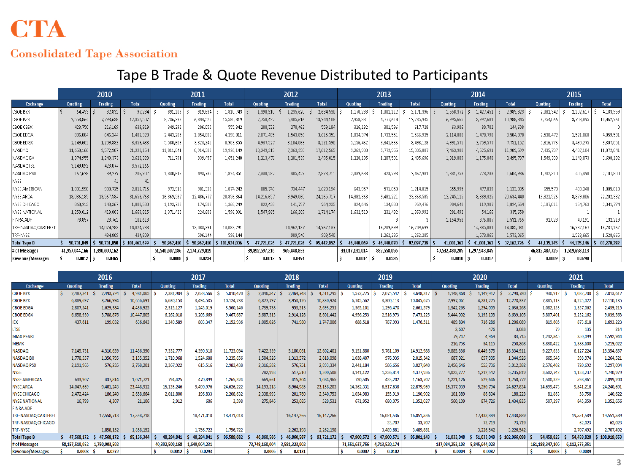# **CTA**

#### **Consolidated Tape Association**

### Tape B Trade & Quote Revenue Distributed to Participants

|                      | 2010           |               |              | 2011           |                |              | 2012           |                |              |                | 2013           |              |                | 2014          |              | 2015           |               |              |
|----------------------|----------------|---------------|--------------|----------------|----------------|--------------|----------------|----------------|--------------|----------------|----------------|--------------|----------------|---------------|--------------|----------------|---------------|--------------|
| Exchange             | Quoting        | Trading       | <b>Total</b> | Quoting        | <b>Trading</b> | <b>Total</b> | Quoting        | <b>Trading</b> | <b>Total</b> | Quoting        | <b>Trading</b> | <b>Total</b> | Quoting        | Trading       | <b>Total</b> | Quoting        | Trading       | <b>Total</b> |
| CBOE BYX             | 64,453         | 32,831        | 97,284       | 891,109        | 919,634        | 1,810,743    | 1,398,910      | 1,235,620      | 2,634,530    | 1,170,283      | 1,001,112      | 2,171,396    | 1,558,372      | 1,427,451     | 2,985,823    | 2,081,342      | 2,102,617     | 4,183,959    |
| CBOE BZX             | 9,558,864      | 7,793,638     | 17,352,502   | 8,736,293      | 6,844.525      | 15,580,819   | 7,758,492      | 5,485,616      | 13,244,108   | 7,958,331      | 4,777,614      | 12,735,945   | 6,995,665      | 3,992,681     | 10,988,345   | 6,754,066      | 3,708,895     | 10,462,961   |
| CBOE CBSX            | 423,750        | 216,169       | 639,919      | 349,292        | 206,050        | 555,342      | 280,723        | 278,462        | 559,184      | 316,132        | 301,596        | 617,728      | 63,906         | 80,702        | 144,608      |                |               |              |
| CBOE EDGA            | 836,084        | 646,244       | 1,482,328    | 2,443,205      | 1,854,806      | 4,298,011    | 2,071,495      | 1,543,856      | 3,615,351    | 1,834,374      | 1,732,551      | 3,566,925    | 2,114,088      | 1,470,790     | 3,584,878    | 2,538,472      | 1,521,060     | 4,059,531    |
| CBOE EDGX            | 2,149,601      | 1,209,882     | 3,359,483    | 5,580,609      | 3,323,245      | 8,903,855    | 4,937,527      | 3,184,063      | 8,121,590    | 5,156,462      | 3,341,666      | 8,498,128    | 4,991,575      | 2,759,577     | 7,751,152    | 5,816,776      | 3,490,275     | 9,307,051    |
| NASDAQ               | 11,650,166     | 9,572,987     | 21, 223, 154 | 11,011,841     | 8.914.308      | 19,926,149   | 10,249,315     | 7,363,250      | 17,612,565   | 9,262,933      | 5,772,955      | 15,035,887   | 7,463,908      | 4,525,691     | 11,989,599   | 7,435,737      | 4,437,104     | 11,872,841   |
| NASDAQ BX            | 1,374,955      | 1,248,373     | 2,623,328    | 711, 791       | 939,457        | 1,651,248    | 1,213,476      | 1,281,539      | 2,495,015    | 1,228,195      | 1,207,501      | 2,435,696    | 1,319,889      | 1,175,848     | 2,495,737    | 1,549,308      | 1,148,873     | 2,698,182    |
| NASDAQ ISE           | 3,149,092      | 423,074       | 3,572,166    |                |                |              |                |                |              |                |                |              |                |               |              |                |               |              |
| NASDAQ PSX           | 167,628        | 39,279        | 206,907      | 1,330,616      | 493,735        | 1,824,351    | 2,338,282      | 485,429        | 2,823,711    | 2,039,683      | 423,298        | 2,462,981    | 1,331,753      | 273,233       | 1,604,986    | 1,702,310      | 405,490       | 2,107,800    |
| <b>NYSE</b>          |                | 41            | 41           |                |                |              |                |                |              |                |                |              |                |               |              |                |               |              |
| <b>NYSE AMERICAN</b> | 1,081,990      | 930,725       | 2,012,715    | 972,913        | 901,328        | 1,874,242    | 885,746        | 734,447        | 1,620,194    | 642,957        | 571,058        | 1,214,015    | 655,995        | 477,039       | 1,133,035    | 655,570        | 430,240       | 1,085,810    |
| NYSE ARCA            | 18,086,185     | 13,567,584    | 31,653,768   | 16,369,587     | 12,486,777     | 28,856,364   | 14,216,657     | 9,949,060      | 24,165,717   | 14,382,363     | 9,481,221      | 23, 863, 585 | 12,245,115     | 8,389,325     | 20,634,440   | 13,322,526     | 8,879,806     | 22, 202, 332 |
| NYSE CHICAGO         | 860,213        | 148,367       | 1,008,580    | 1,193,739      | 174,509        | 1,368,249    | 822,438        | 141,797        | 964,235      | 824,646        | 134,830        | 959,476      | 904,648        | 119,907       | 1,024,554    | 2,187,011      | 154,763       | 2,341,774    |
| <b>NYSE NATIONAL</b> | 1,250,012      | 419,803       | 1,669,815    | 1,371,422      | 224.608        | 1,596,031    | 1,547,965      | 166,209        | 1,714,174    | 1,632,510      | 231,482        | 1,863,992    | 281,492        | 54,166        | 335,658      |                |               |              |
| <b>FINRA ADF</b>     | 78.857         | 23,761        | 102,618      |                |                |              |                |                |              |                |                |              | 1,154,958      | 376,807       | 1,531,765    | 92.028         | 40.191        | 132,219      |
| TRF-NASDAQ CARTERET  |                | 14,024,283    | 14.024.283   |                | 13,083,291     | 13,083,291   |                | 14,962,137     | 14,962,137   |                | 16,209,699     | 16,209,699   |                | 14,385,081    | 14,385,081   |                | 16,287,167    | 16,287,167   |
| TRF-NYSE             |                | 434,809       | 434,809      |                | 596,144        | 596,144      |                | 909,540        | 909,540      |                | 1,262,285      | 1,262,285    |                | 1,573,065     | 1,573,065    |                | 1,528,665     | 1,528,665    |
| <b>Total Tape B</b>  | 50,731,849     | 50,731,850    | 101,463,699  | 50,962,418     | 50,962,418     | 101,924,836  | 47,721,026     | 47,721,026     | 95,442,052   | 46,448,869     | 46,448,870     | 92,897,739   | 41,081,363     | 41,081,363    | 82,162,726   | 44,135,145     | 44,135,146    | 88,270,292   |
| # of Messages        | 41,957,044,166 | 1,390,600,162 |              | 61,540,607,186 | 2,174,729,819  |              | 39,892,597,216 | 965,448,833    |              | 33,017,131,014 | 882,558,056    |              | 40,532,480,205 | 1,297,943,845 |              | 46,812,487,725 | 1,519,658,113 |              |
| Revenue/Messages     | 0.0012         | 0.0365        |              | 0.0008         | 0.0234         |              | 0.0012         | 0.0494         |              | 0.0014         | 0.0526         |              | 0.0010         | 0.0317        |              | 0.0009         | 0.0290        |              |

|                         | 2016           |                |              | 2017           |                |              | 2018           |                |                 | 2019           |                |              | 2020            |                |               | 2021               |                |              |
|-------------------------|----------------|----------------|--------------|----------------|----------------|--------------|----------------|----------------|-----------------|----------------|----------------|--------------|-----------------|----------------|---------------|--------------------|----------------|--------------|
| <b>Exchange</b>         | Quoting        | <b>Trading</b> | <b>Total</b> | Quoting        | <b>Trading</b> | <b>Total</b> | Quoting        | <b>Trading</b> | <b>Total</b>    | Quoting        | <b>Trading</b> | <b>Total</b> | Quoting         | <b>Trading</b> | <b>Total</b>  | Quoting            | <b>Trading</b> | <b>Total</b> |
| <b>CBOE BYX</b>         | 2,487,341      | 2,493,724      | 4,981,065    | 2,381,904      | 2,628,566      | 5,010,470    | 2,046,547      | 2.464,748      | 4,511,295<br>-Ś | 1,572,775      | 2,075,542      | 3,648,317    | 1,148,868       | 1,149,912      | 2,298,780     | 930,912            | 1,082,700      | 2,013,612    |
| <b>CBOE BZX</b>         | 6,889,697      | 3,766,994      | 10,656,691   | 6,630,153      | 3,494,585      | 10,124,738   | 6,877,797      | 3,953,126      | 10,830,924      | 6,745,562      | 3,300,113      | 10,045,675   | 7,997,061       | 4,281,275      | 12,278,337    | 7,885,113          | 4,225,022      | 12,110,135   |
| <b>CBOE EDGA</b>        | 2,807,541      | 1,629,384      | 4,436,925    | 2,315,127      | 1,245,019      | 3,560,146    | 1,739,738      | 953,513        | 2,693,251       | 1,365,101      | 1,296,478      | 2,661,579    | 1,342,263       | 1,294,005      | 2,636,268     | 1,082,153          | 1,357,062      | 2,439,215    |
| <b>CBOE EDGX</b>        | 6,658,930      | 3,788,876      | 10,447,805   | 6,262,018      | 3,205,669      | 9,467,687    | 5,687,315      | 2,914,128      | 8,601,442       | 4,956,253      | 2,516,973      | 7,473,225    | 5,444,002       | 3,195,103      | 8,639,105     | 5,807,401          | 3,232,162      | 9,039,563    |
| IEX                     | 437,611        | 199,032        | 636,643      | 1,349,589      | 803,347        | 2,152,936    | 1,005,026      | 741,980        | 1,747,006       | 688,518        | 787,993        | 1,476,511    | 489,804         | 716,286        | 1,206,089     | 819,605            | 873,618        | 1,693,223    |
| LTSE                    |                |                |              |                |                |              |                |                |                 |                |                |              | 2.607           | 476            | 3.083         | -79                | 135            | 214          |
| <b>MIAX PEARL</b>       |                |                |              |                |                |              |                |                |                 |                |                |              | 79,747          | 4.969          | 84,715        | 1,242,845          | 350,099        | 1,592,944    |
| <b>MEMX</b>             |                |                |              |                |                |              |                |                |                 |                |                |              | 216,753         | 34,115         | 250,868       | 3,830,422          | 1,388,600      | 5,219,022    |
| <b>NASDAQ</b>           | 7,145,731      | 4,310,659      | 11,456,390   | 7,332,777      | 4,390,318      | 11,723,094   | 7,422,339      | 5,180,061      | 12,602,401      | 9,151,880      | 5,761,109      | 14,912,988   | 9,885,336       | 6,449,575      | 16,334,911    | 9,227,633          | 6,127,224      | 15,354,857   |
| <b>NASDAQ BX</b>        | 1,778,557      | 1,356,795      | 3,135,352    | 1,710,968      | 1,524,688      | 3,235,656    | 1,504,526      | 1,313,572      | 2,818,098       | 1,038,407      | 976,935        | 2,015,342    | 687,021         | 657,905        | 1,344,926     | 665,546            | 598,974        | 1,264,521    |
| <b>NASDAQ PSX</b>       | 2,191,965      | 576.235        | 2.768.201    | 2,367,922      | 615,516        | 2,983,438    | 2,316,582      | 576.751        | 2.893.334       | 2.441.184      | 586.656        | 3.027.840    | 2,456,646       | 555.736        | 3.012.382     | 2.576.402          | 720.692        | 3,297,094    |
| <b>NYSE</b>             |                |                |              |                |                |              | 782,998        | 517,510        | 1.300.508       | 3.141.122      | 1.236.814      | 4.377.936    | 4,023,277       | 1,212,542      | 5.235.819     | 3.602.742          | 1.138.237      | 4,740,979    |
| <b>NYSE AMERICAN</b>    | 633,907        | 437,814        | 1,071,721    | 794,425        | 470.899        | 1,265,324    | 669,661        | 415,304        | 1,084,965       | 730,505        | 433,202        | 1,163,707    | 1,221,126       | 529,646        | 1,750,772     | 1,500,339          | 598,861        | 2,099,200    |
| <b>NYSE ARCA</b>        | 14,047,669     | 9,401,243      | 23,448,912   | 15,135,246     | 9,490,976      | 24,626,222   | 14, 193, 218   | 8,964,985      | 23,158,203      | 14,362,331     | 8,517,638      | 22,879,969   | 15,377,039      | 9,250,794      | 24,627,834    | 14,699,473         | 9,541,218      | 24,240,691   |
| <b>NYSE CHICAGO</b>     | 2,472,424      | 186,240        | 2,658,664    | 2,011,800      | 196,833        | 2,208,632    | 2,338,993      | 201,760        | 2,540,753       | 1.034.983      | 155,919        | 1,190,902    | 101,389         | 86,834         | 188,223       | 81,863             | 58,758         | 140,622      |
| <b>NYSE NATIONAL</b>    | 16,799         | 4.307          | 21.106       | 2.912          | 686            | 3.598        | 275,846        | 253.685        | 529.531         | 671.952        | 680.075        | 1,352,027    | 560,109         | 874.726        | 1.434.835     | 507,297            | 845,359        | 1,352,656    |
| <b>FINRA ADF</b>        |                |                |              |                |                |              |                |                |                 |                |                |              |                 |                |               |                    |                |              |
| TRF-NASDAQ CARTERET     |                | 17,558,718     | 17,558,718   |                | 18,471,018     | 18,471,018   |                | 16,147,266     | 16, 147, 266    |                | 16,051,536     | 16,051,536   |                 | 17,438,889     | 17,438,889    |                    | 19,551,589     | 19,551,589   |
| TRF-NASDAQ CHICAGO      |                |                |              |                |                |              |                |                |                 |                | 33,707         | 33,707       |                 | 73,719         | 73,719        |                    | 62,023         | 62,023       |
| <b>TRF-NYSE</b>         |                | 1,858,152      | 1,858,152    |                | 1,756,722      | 1,756,722    |                | 2,262,198      | 2,262,198       |                | 3,489,881      | 3,489,881    |                 | 3,226,542      | 3,226,542     |                    | 2,707,492      | 2,707,492    |
| <b>Total Tape B</b>     | 47,568,172     | 47,568,172     | 95,136,344   | 48.294.841     | 48,294,841     | 96,589,682   | 46,860,586     | 46,860,587     | 93,721,172      | 47,900,572     | 47,900,571     | 95,801,143   | 51,033,048      | 51,033,049     | \$102,066,098 | 54,459,825         | 54,459,828     | 108,919,653  |
| # of Messages           | 58,157,519,952 | 1,750,903,592  |              | 40,392,509,168 | 1,649,964,231  |              | 73,748,160,004 | 3,581,323,902  |                 | 71,551,637,756 | 4,713,520,174  |              | 137,084,253,103 | 5,845,644,023  |               | 161, 188, 347, 106 | 6,112,575,351  |              |
| <b>Revenue/Messages</b> | 0.0008         | 0.0272         |              | 0.0012         | 0.0293         |              | 0.0006         | 0.0131         |                 | 0.0007         | 0.0102         |              | 0.0004          | 0.0087         |               | 0.0003             | 0.0089         |              |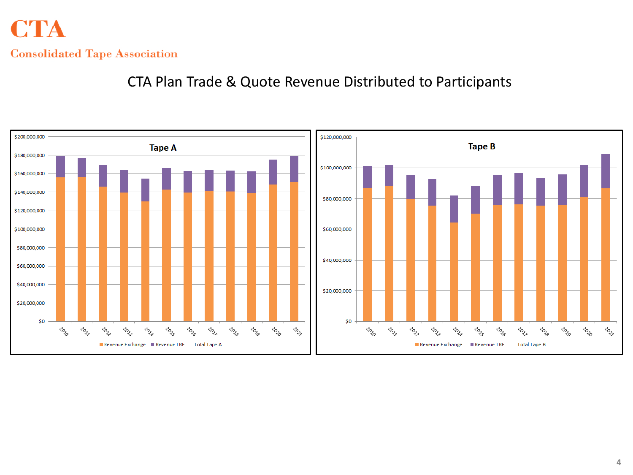## **CTA Consolidated Tape Association**

CTA Plan Trade & Quote Revenue Distributed to Participants